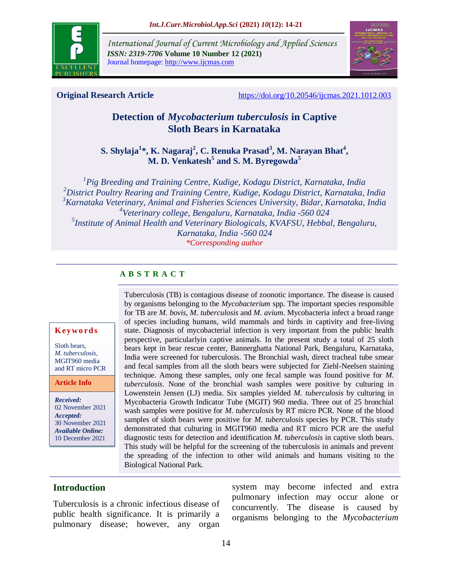

*International Journal of Current Microbiology and Applied Sciences ISSN: 2319-7706* **Volume 10 Number 12 (2021)**  Journal homepage: http://www.ijcmas.com



**Original Research Article** <https://doi.org/10.20546/ijcmas.2021.1012.003>

# **Detection of** *Mycobacterium tuberculosis* **in Captive Sloth Bears in Karnataka**

**S. Shylaja<sup>1</sup> \*, K. Nagaraj<sup>2</sup> , C. Renuka Prasad<sup>3</sup> , M. Narayan Bhat<sup>4</sup> , M. D. Venkatesh<sup>5</sup> and S. M. Byregowda<sup>5</sup>**

 *Pig Breeding and Training Centre, Kudige, Kodagu District, Karnataka, India District Poultry Rearing and Training Centre, Kudige, Kodagu District, Karnataka, India Karnataka Veterinary, Animal and Fisheries Sciences University, Bidar, Karnataka, India Veterinary college, Bengaluru, Karnataka, India -560 024 Institute of Animal Health and Veterinary Biologicals, KVAFSU, Hebbal, Bengaluru, Karnataka, India -560 024 \*Corresponding author*

# **A B S T R A C T**

#### **K ey w o rd s**

Sloth bears, *M. tuberculosis,*  MGIT960 media and RT micro PCR

**Article Info**

*Received:*  02 November 2021 *Accepted:*  30 November 2021 *Available Online:* 10 December 2021

Tuberculosis (TB) is contagious disease of zoonotic importance. The disease is caused by organisms belonging to the *Mycobacterium* spp. The important species responsible for TB are *M. bovis*, *M. tuberculosis* and *M. avium*. Mycobacteria infect a broad range of species including humans, wild mammals and birds in captivity and free-living state. Diagnosis of mycobacterial infection is very important from the public health perspective, particularlyin captive animals. In the present study a total of 25 sloth bears kept in bear rescue center, Bannerghatta National Park, Bengaluru, Karnataka, India were screened for tuberculosis. The Bronchial wash, direct tracheal tube smear and fecal samples from all the sloth bears were subjected for Ziehl-Neelsen staining technique. Among these samples, only one fecal sample was found positive for *M. tuberculosis*. None of the bronchial wash samples were positive by culturing in Lowenstein Jensen (LJ) media. Six samples yielded *M. tuberculosis* by culturing in Mycobacteria Growth Indicator Tube (MGIT) 960 media. Three out of 25 bronchial wash samples were positive for *M. tuberculosis* by RT micro PCR. None of the blood samples of sloth bears were positive for *M. tuberculosis* species by PCR. This study demonstrated that culturing in MGIT960 media and RT micro PCR are the useful diagnostic tests for detection and identification *M. tuberculosis* in captive sloth bears. This study will be helpful for the screening of the tuberculosis in animals and prevent the spreading of the infection to other wild animals and humans visiting to the Biological National Park.

## **Introduction**

Tuberculosis is a chronic infectious disease of public health significance. It is primarily a pulmonary disease; however, any organ

system may become infected and extra pulmonary infection may occur alone or concurrently. The disease is caused by organisms belonging to the *Mycobacterium*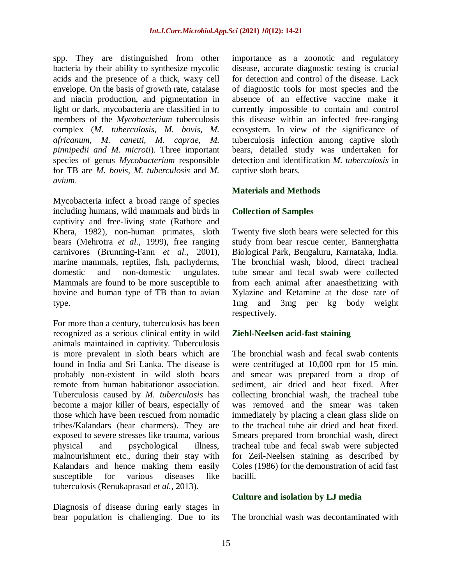spp. They are distinguished from other bacteria by their ability to synthesize mycolic acids and the presence of a thick, waxy cell envelope. On the basis of growth rate, catalase and niacin production, and pigmentation in light or dark, mycobacteria are classified in to members of the *Mycobacterium* tuberculosis complex (*M. tuberculosis, M. bovis, M. africanum, M. canetti, M. caprae, M. pinnipedii and M. microti*). Three important species of genus *Mycobacterium* responsible for TB are *M. bovis, M. tuberculosis* and *M. avium*.

Mycobacteria infect a broad range of species including humans, wild mammals and birds in captivity and free-living state (Rathore and Khera, 1982), non-human primates, sloth bears (Mehrotra *et al.,* 1999), free ranging carnivores (Brunning-Fann *et al.,* 2001), marine mammals, reptiles, fish, pachyderms, domestic and non-domestic ungulates. Mammals are found to be more susceptible to bovine and human type of TB than to avian type.

For more than a century, tuberculosis has been recognized as a serious clinical entity in wild animals maintained in captivity. Tuberculosis is more prevalent in sloth bears which are found in India and Sri Lanka. The disease is probably non-existent in wild sloth bears remote from human habitationor association. Tuberculosis caused by *M. tuberculosis* has become a major killer of bears, especially of those which have been rescued from nomadic tribes/Kalandars (bear charmers). They are exposed to severe stresses like trauma, various physical and psychological illness, malnourishment etc., during their stay with Kalandars and hence making them easily susceptible for various diseases like tuberculosis (Renukaprasad *et al.,* 2013).

Diagnosis of disease during early stages in bear population is challenging. Due to its importance as a zoonotic and regulatory disease, accurate diagnostic testing is crucial for detection and control of the disease. Lack of diagnostic tools for most species and the absence of an effective vaccine make it currently impossible to contain and control this disease within an infected free-ranging ecosystem. In view of the significance of tuberculosis infection among captive sloth bears, detailed study was undertaken for detection and identification *M. tuberculosis* in captive sloth bears.

## **Materials and Methods**

## **Collection of Samples**

Twenty five sloth bears were selected for this study from bear rescue center, Bannerghatta Biological Park, Bengaluru, Karnataka, India. The bronchial wash, blood, direct tracheal tube smear and fecal swab were collected from each animal after anaesthetizing with Xylazine and Ketamine at the dose rate of 1mg and 3mg per kg body weight respectively.

## **Ziehl-Neelsen acid-fast staining**

The bronchial wash and fecal swab contents were centrifuged at 10,000 rpm for 15 min. and smear was prepared from a drop of sediment, air dried and heat fixed. After collecting bronchial wash, the tracheal tube was removed and the smear was taken immediately by placing a clean glass slide on to the tracheal tube air dried and heat fixed. Smears prepared from bronchial wash, direct tracheal tube and fecal swab were subjected for Zeil-Neelsen staining as described by Coles (1986) for the demonstration of acid fast bacilli.

#### **Culture and isolation by LJ media**

The bronchial wash was decontaminated with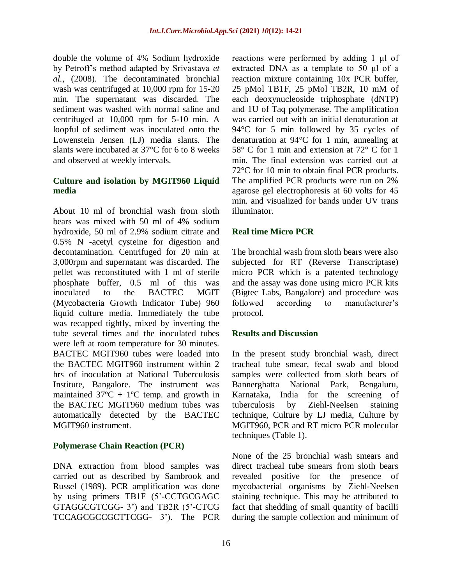double the volume of 4% Sodium hydroxide by Petroff's method adapted by Srivastava *et al.,* (2008). The decontaminated bronchial wash was centrifuged at 10,000 rpm for 15-20 min. The supernatant was discarded. The sediment was washed with normal saline and centrifuged at 10,000 rpm for 5-10 min. A loopful of sediment was inoculated onto the Lowenstein Jensen (LJ) media slants. The slants were incubated at 37°C for 6 to 8 weeks and observed at weekly intervals.

#### **Culture and isolation by MGIT960 Liquid media**

About 10 ml of bronchial wash from sloth bears was mixed with 50 ml of 4% sodium hydroxide, 50 ml of 2.9% sodium citrate and 0.5% N -acetyl cysteine for digestion and decontamination. Centrifuged for 20 min at 3,000rpm and supernatant was discarded. The pellet was reconstituted with 1 ml of sterile phosphate buffer, 0.5 ml of this was inoculated to the BACTEC MGIT (Mycobacteria Growth Indicator Tube) 960 liquid culture media. Immediately the tube was recapped tightly, mixed by inverting the tube several times and the inoculated tubes were left at room temperature for 30 minutes. BACTEC MGIT960 tubes were loaded into the BACTEC MGIT960 instrument within 2 hrs of inoculation at National Tuberculosis Institute, Bangalore. The instrument was maintained  $37^{\circ}C + 1^{\circ}C$  temp. and growth in the BACTEC MGIT960 medium tubes was automatically detected by the BACTEC MGIT960 instrument.

## **Polymerase Chain Reaction (PCR)**

DNA extraction from blood samples was carried out as described by Sambrook and Russel (1989). PCR amplification was done by using primers TB1F (5'-CCTGCGAGC GTAGGCGTCGG- 3') and TB2R (5'-CTCG TCCAGCGCCGCTTCGG- 3'). The PCR reactions were performed by adding 1 μl of extracted DNA as a template to 50 μl of a reaction mixture containing 10x PCR buffer, 25 pMol TB1F, 25 pMol TB2R, 10 mM of each deoxynucleoside triphosphate (dNTP) and 1U of Taq polymerase. The amplification was carried out with an initial denaturation at 94°C for 5 min followed by 35 cycles of denaturation at 94°C for 1 min, annealing at 58° C for 1 min and extension at 72° C for 1 min. The final extension was carried out at 72°C for 10 min to obtain final PCR products. The amplified PCR products were run on 2% agarose gel electrophoresis at 60 volts for 45 min. and visualized for bands under UV trans illuminator.

# **Real time Micro PCR**

The bronchial wash from sloth bears were also subjected for RT (Reverse Transcriptase) micro PCR which is a patented technology and the assay was done using micro PCR kits (Bigtec Labs, Bangalore) and procedure was followed according to manufacturer's protocol.

## **Results and Discussion**

In the present study bronchial wash, direct tracheal tube smear, fecal swab and blood samples were collected from sloth bears of Bannerghatta National Park, Bengaluru, Karnataka, India for the screening of tuberculosis by Ziehl-Neelsen staining technique, Culture by LJ media, Culture by MGIT960, PCR and RT micro PCR molecular techniques (Table 1).

None of the 25 bronchial wash smears and direct tracheal tube smears from sloth bears revealed positive for the presence of mycobacterial organisms by Ziehl-Neelsen staining technique. This may be attributed to fact that shedding of small quantity of bacilli during the sample collection and minimum of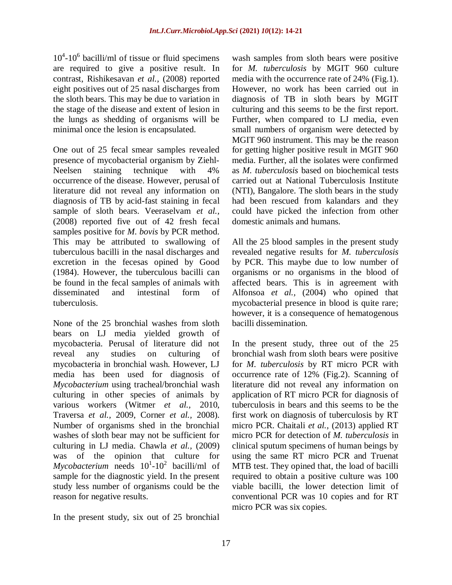$10^4$ - $10^6$  bacilli/ml of tissue or fluid specimens are required to give a positive result. In contrast, Rishikesavan *et al.,* (2008) reported eight positives out of 25 nasal discharges from the sloth bears. This may be due to variation in the stage of the disease and extent of lesion in the lungs as shedding of organisms will be minimal once the lesion is encapsulated.

One out of 25 fecal smear samples revealed presence of mycobacterial organism by Ziehl-Neelsen staining technique with 4% occurrence of the disease. However, perusal of literature did not reveal any information on diagnosis of TB by acid-fast staining in fecal sample of sloth bears. Veeraselvam *et al.,* (2008) reported five out of 42 fresh fecal samples positive for *M. bovis* by PCR method. This may be attributed to swallowing of tuberculous bacilli in the nasal discharges and excretion in the fecesas opined by Good (1984). However, the tuberculous bacilli can be found in the fecal samples of animals with disseminated and intestinal form of tuberculosis.

None of the 25 bronchial washes from sloth bears on LJ media yielded growth of mycobacteria. Perusal of literature did not reveal any studies on culturing of mycobacteria in bronchial wash. However, LJ media has been used for diagnosis of *Mycobacterium* using tracheal/bronchial wash culturing in other species of animals by various workers (Witmer *et al.,* 2010, Traversa *et al.,* 2009, Corner *et al.,* 2008). Number of organisms shed in the bronchial washes of sloth bear may not be sufficient for culturing in LJ media. Chawla *et al.,* (2009) was of the opinion that culture for  $Mycobacterium$  needs  $10<sup>1</sup>$ -10<sup>2</sup> bacilli/ml of sample for the diagnostic yield. In the present study less number of organisms could be the reason for negative results.

In the present study, six out of 25 bronchial

wash samples from sloth bears were positive for *M. tuberculosis* by MGIT 960 culture media with the occurrence rate of 24% (Fig.1). However, no work has been carried out in diagnosis of TB in sloth bears by MGIT culturing and this seems to be the first report. Further, when compared to LJ media, even small numbers of organism were detected by MGIT 960 instrument. This may be the reason for getting higher positive result in MGIT 960 media. Further, all the isolates were confirmed as *M. tuberculosis* based on biochemical tests carried out at National Tuberculosis Institute (NTI), Bangalore. The sloth bears in the study had been rescued from kalandars and they could have picked the infection from other domestic animals and humans.

All the 25 blood samples in the present study revealed negative results for *M. tuberculosis* by PCR. This maybe due to low number of organisms or no organisms in the blood of affected bears. This is in agreement with Alfonsoa *et al.,* (2004) who opined that mycobacterial presence in blood is quite rare; however, it is a consequence of hematogenous bacilli dissemination.

In the present study, three out of the 25 bronchial wash from sloth bears were positive for *M. tuberculosis* by RT micro PCR with occurrence rate of 12% (Fig.2). Scanning of literature did not reveal any information on application of RT micro PCR for diagnosis of tuberculosis in bears and this seems to be the first work on diagnosis of tuberculosis by RT micro PCR. Chaitali *et al.,* (2013) applied RT micro PCR for detection of *M. tuberculosis* in clinical sputum specimens of human beings by using the same RT micro PCR and Truenat MTB test. They opined that, the load of bacilli required to obtain a positive culture was 100 viable bacilli, the lower detection limit of conventional PCR was 10 copies and for RT micro PCR was six copies.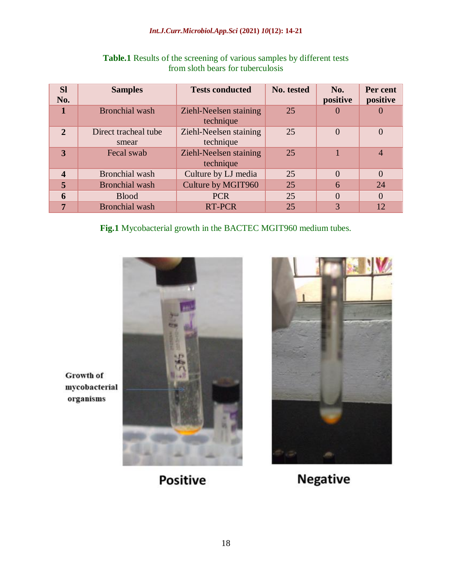#### *Int.J.Curr.Microbiol.App.Sci* **(2021)** *10***(12): 14-21**

| <b>SI</b><br>No.        | <b>Samples</b>                | <b>Tests conducted</b>              | No. tested | No.<br>positive | Per cent<br>positive |
|-------------------------|-------------------------------|-------------------------------------|------------|-----------------|----------------------|
| 1                       | <b>Bronchial</b> wash         | Ziehl-Neelsen staining<br>technique | 25         | $\cup$          |                      |
| $\overline{2}$          | Direct tracheal tube<br>smear | Ziehl-Neelsen staining<br>technique | 25         | $\Omega$        | $\overline{0}$       |
| 3                       | Fecal swab                    | Ziehl-Neelsen staining<br>technique | 25         |                 | $\overline{4}$       |
| $\overline{\mathbf{4}}$ | <b>Bronchial</b> wash         | Culture by LJ media                 | 25         | $\Omega$        | $\Omega$             |
| 5                       | <b>Bronchial</b> wash         | Culture by MGIT960                  | 25         | 6               | 24                   |
| 6                       | <b>Blood</b>                  | <b>PCR</b>                          | 25         | $\Omega$        | $\overline{0}$       |
| 7                       | <b>Bronchial</b> wash         | <b>RT-PCR</b>                       | 25         | 3               | 12                   |

# **Table.1** Results of the screening of various samples by different tests from sloth bears for tuberculosis

**Fig.1** Mycobacterial growth in the BACTEC MGIT960 medium tubes.





Growth of mycobacterial organisms

**Positive** 

**Negative**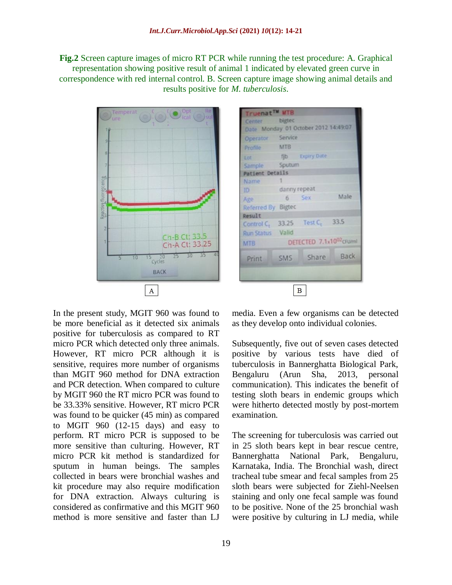**Fig.2** Screen capture images of micro RT PCR while running the test procedure: A. Graphical representation showing positive result of animal 1 indicated by elevated green curve in correspondence with red internal control. B. Screen capture image showing animal details and results positive for *M. tuberculosis*.





In the present study, MGIT 960 was found to be more beneficial as it detected six animals positive for tuberculosis as compared to RT micro PCR which detected only three animals. However, RT micro PCR although it is sensitive, requires more number of organisms than MGIT 960 method for DNA extraction and PCR detection. When compared to culture by MGIT 960 the RT micro PCR was found to be 33.33% sensitive. However, RT micro PCR was found to be quicker (45 min) as compared to MGIT 960 (12-15 days) and easy to perform. RT micro PCR is supposed to be more sensitive than culturing. However, RT micro PCR kit method is standardized for sputum in human beings. The samples collected in bears were bronchial washes and kit procedure may also require modification for DNA extraction. Always culturing is considered as confirmative and this MGIT 960 method is more sensitive and faster than LJ

media. Even a few organisms can be detected as they develop onto individual colonies.

Subsequently, five out of seven cases detected positive by various tests have died of tuberculosis in Bannerghatta Biological Park, Bengaluru (Arun Sha, 2013, personal communication). This indicates the benefit of testing sloth bears in endemic groups which were hitherto detected mostly by post-mortem examination.

The screening for tuberculosis was carried out in 25 sloth bears kept in bear rescue centre, Bannerghatta National Park, Bengaluru, Karnataka, India. The Bronchial wash, direct tracheal tube smear and fecal samples from 25 sloth bears were subjected for Ziehl-Neelsen staining and only one fecal sample was found to be positive. None of the 25 bronchial wash were positive by culturing in LJ media, while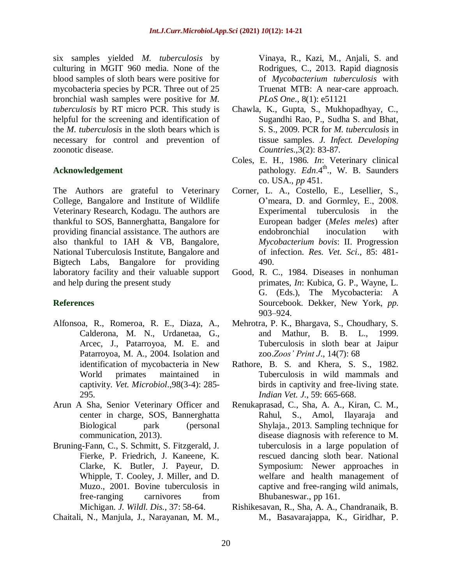six samples yielded *M. tuberculosis* by culturing in MGIT 960 media. None of the blood samples of sloth bears were positive for mycobacteria species by PCR. Three out of 25 bronchial wash samples were positive for *M. tuberculosis* by RT micro PCR. This study is helpful for the screening and identification of the *M. tuberculosis* in the sloth bears which is necessary for control and prevention of zoonotic disease.

## **Acknowledgement**

The Authors are grateful to Veterinary College, Bangalore and Institute of Wildlife Veterinary Research, Kodagu. The authors are thankful to SOS, Bannerghatta, Bangalore for providing financial assistance. The authors are also thankful to IAH & VB, Bangalore, National Tuberculosis Institute, Bangalore and Bigtech Labs, Bangalore for providing laboratory facility and their valuable support and help during the present study

## **References**

- Alfons[oa,](http://www.sciencedirect.com/science/article/pii/S0378113503003675#AFF1) R., Romer[oa,](http://www.sciencedirect.com/science/article/pii/S0378113503003675#AFF1) R. E., Dia[za,](http://www.sciencedirect.com/science/article/pii/S0378113503003675#AFF1) A., Caldero[na,](http://www.sciencedirect.com/science/article/pii/S0378113503003675#AFF1) M. N., Urdanet[aa,](http://www.sciencedirect.com/science/article/pii/S0378113503003675#AFF1) G., Arc[ec,](http://www.sciencedirect.com/science/article/pii/S0378113503003675#AFF3) J., Patarroy[oa,](http://www.sciencedirect.com/science/article/pii/S0378113503003675#AFF1) M. E. and Patarroy[oa,](http://www.sciencedirect.com/science/article/pii/S0378113503003675#AFF1) M. A., 2004. Isolation and identification of mycobacteria in New World primates maintained in captivity. *Vet. Microbiol*.,98(3-4): 285- 295.
- Arun A Sha, Senior Veterinary Officer and center in charge, SOS, Bannerghatta Biological park (personal communication, 2013).
- Bruning-Fann, C., S. Schmitt, S. Fitzgerald, J. Fierke, P. Friedrich, J. Kaneene, K. Clarke, K. Butler, J. Payeur, D. Whipple, T. Cooley, J. Miller, and D. Muzo., 2001*.* Bovine tuberculosis in free-ranging carnivores from Michigan. *J. Wildl. Dis.,* 37: 58-64.
- Chaitali, N., Manjula, J., Narayanan, M. M.,

Vinaya, R., Kazi, M., Anjali, S. and Rodrigues, C., 2013. Rapid diagnosis of *Mycobacterium tuberculosis* with Truenat MTB: A near-care approach. *PLoS One*., 8(1): e51121

- Chawla, K., Gupta, S., Mukhopadhyay, C., Sugandhi Rao, P., Sudha S. and Bhat, S. S., 2009. PCR for *M. tuberculosis* in tissue samples. *J. Infect. Developing Countries*.,3(2): 83-87.
- Coles, E. H., 1986. *In*: Veterinary clinical pathology. *Edn.*4<sup>th</sup>., W. B. Saunders co. USA., *pp* 451.
- Corner, L. A., Costello, E., Lesellier, S., O'meara, D. and Gormley, E., 2008. Experimental tuberculosis in the European badger (*Meles meles*) after endobronchial inoculation with *Mycobacterium bovis*: II. Progression of infection. *Res. Vet. Sci*., 85: 481- 490.
- Good, R. C., 1984. Diseases in nonhuman primates, *In*: Kubica, G. P., Wayne, L. G. (Eds.), The Mycobacteria: A Sourcebook. Dekker, New York, *pp*. 903–924.
- Mehrotra, P. K., Bhargava, S., Choudhary, S. and Mathur, B. B. L., 1999. Tuberculosis in sloth bear at Jaipur zoo.*Zoos' Print J*., 14(7): 68
- Rathore, B. S. and Khera, S. S., 1982. Tuberculosis in wild mammals and birds in captivity and free-living state. *Indian Vet. J*., 59: 665-668.
- Renukaprasad, C., Sha, A. A., Kiran, C. M., Rahul, S., Amol, Ilayaraja and Shylaja., 2013. Sampling technique for disease diagnosis with reference to M. tuberculosis in a large population of rescued dancing sloth bear. National Symposium: Newer approaches in welfare and health management of captive and free-ranging wild animals, Bhubaneswar., pp 161.
- Rishikesavan, R., Sha, A. A., Chandranaik, B. M., Basavarajappa, K., Giridhar, P.